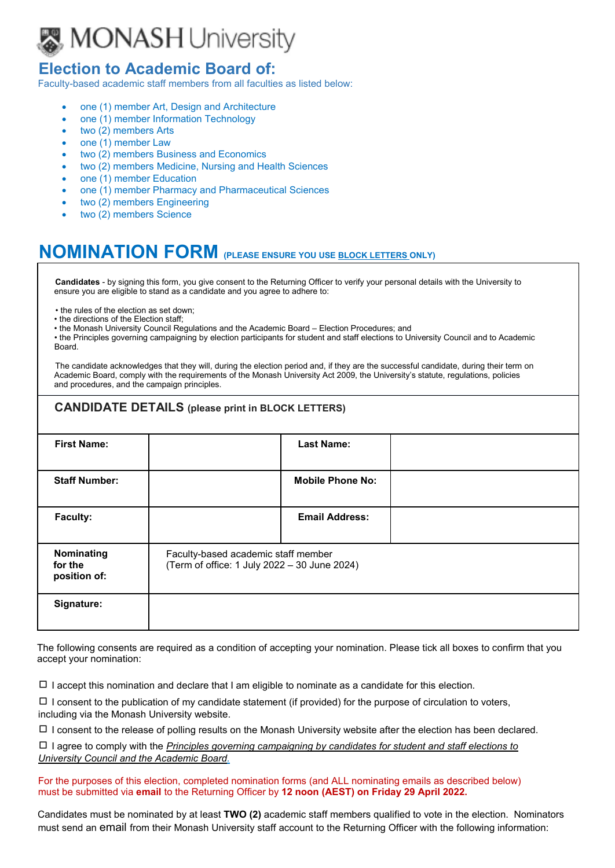

## **Election to Academic Board of:**

Faculty-based academic staff members from all faculties as listed below:

- one (1) member Art, Design and Architecture
- one (1) member Information Technology
- two (2) members Arts
- one (1) member Law
- two (2) members Business and Economics
- two (2) members Medicine, Nursing and Health Sciences
- one (1) member Education
- one (1) member Pharmacy and Pharmaceutical Sciences
- two (2) members Engineering
- two (2) members Science

## **NOMINATION FORM (PLEASE ENSURE YOU USE BLOCK LETTERS ONLY)**

**Candidates** - by signing this form, you give consent to the Returning Officer to verify your personal details with the University to ensure you are eligible to stand as a candidate and you agree to adhere to:

- the rules of the election as set down;
- the directions of the Election staff;
- the Monash University Council Regulations and the Academic Board Election Procedures; and

• the Principles governing campaigning by election participants for student and staff elections to University Council and to Academic Board.

The candidate acknowledges that they will, during the election period and, if they are the successful candidate, during their term on Academic Board, comply with the requirements of the Monash University Act 2009, the University's statute, regulations, policies and procedures, and the campaign principles.

| <b>CANDIDATE DETAILS (please print in BLOCK LETTERS)</b> |                                                                                     |  |  |  |  |
|----------------------------------------------------------|-------------------------------------------------------------------------------------|--|--|--|--|
| <b>First Name:</b>                                       | <b>Last Name:</b>                                                                   |  |  |  |  |
| <b>Staff Number:</b>                                     | <b>Mobile Phone No:</b>                                                             |  |  |  |  |
| Faculty:                                                 | <b>Email Address:</b>                                                               |  |  |  |  |
| Nominating<br>for the<br>position of:                    | Faculty-based academic staff member<br>(Term of office: 1 July 2022 - 30 June 2024) |  |  |  |  |
| Signature:                                               |                                                                                     |  |  |  |  |

The following consents are required as a condition of accepting your nomination. Please tick all boxes to confirm that you accept your nomination:

 $\Box$  I accept this nomination and declare that I am eligible to nominate as a candidate for this election.

 $\Box$  I consent to the publication of my candidate statement (if provided) for the purpose of circulation to voters, including via the Monash University website.

 $\Box$  I consent to the release of polling results on the Monash University website after the election has been declared.

◻ I agree to comply with the *Principles governing [campaigning](https://www.monash.edu/__data/assets/pdf_file/0003/2322678/Principles-Governing-Campaigning-by-Election-Participants-for-student-and-staff-elections-to-Monash-University-Council.pdf) by candidates for student and staff elections to [University](https://www.monash.edu/__data/assets/pdf_file/0003/2322678/Principles-Governing-Campaigning-by-Election-Participants-for-student-and-staff-elections-to-Monash-University-Council.pdf) Council and the Academic Board.*

For the purposes of this election, completed nomination forms (and ALL nominating emails as described below) must be submitted via **email** to the Returning Officer by **12 noon (AEST) on Friday 29 April 2022.**

Candidates must be nominated by at least **TWO (2)** academic staff members qualified to vote in the election. Nominators must send an email from their Monash University staff account to the Returning Officer with the following information: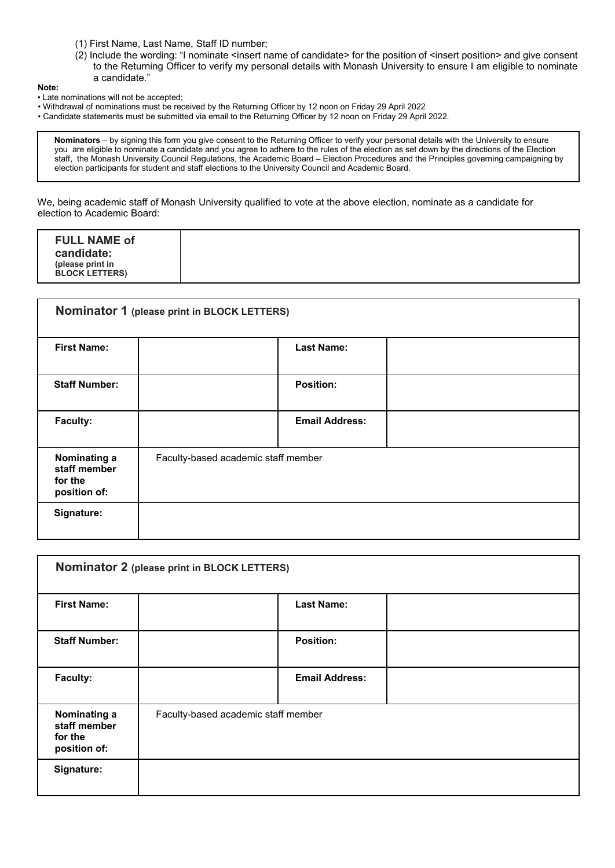- (1) First Name, Last Name, Staff ID number;
- (2) Include the wording: "I nominate <insert name of candidate> for the position of <insert position> and give consent to the Returning Officer to verify my personal details with Monash University to ensure I am eligible to nominate a candidate."

**Note:** 

- Late nominations will not be accepted;
- Withdrawal of nominations must be received by the Returning Officer by 12 noon on Friday 29 April 2022
- Candidate statements must be submitted via email to the Returning Officer by 12 noon on Friday 29 April 2022.

**Nominators** – by signing this form you give consent to the Returning Officer to verify your personal details with the University to ensure you are eligible to nominate a candidate and you agree to adhere to the rules of the election as set down by the directions of the Election staff, the Monash University Council Regulations, the Academic Board – Election Procedures and the Principles governing campaigning by election participants for student and staff elections to the University Council and Academic Board.

We, being academic staff of Monash University qualified to vote at the above election, nominate as a candidate for election to Academic Board:

| Nominator 1 (please print in BLOCK LETTERS)             |                                     |                       |  |  |  |
|---------------------------------------------------------|-------------------------------------|-----------------------|--|--|--|
| <b>First Name:</b>                                      |                                     | <b>Last Name:</b>     |  |  |  |
| <b>Staff Number:</b>                                    |                                     | <b>Position:</b>      |  |  |  |
| Faculty:                                                |                                     | <b>Email Address:</b> |  |  |  |
| Nominating a<br>staff member<br>for the<br>position of: | Faculty-based academic staff member |                       |  |  |  |
| Signature:                                              |                                     |                       |  |  |  |

| Nominator 2 (please print in BLOCK LETTERS)             |                                     |                       |  |  |  |
|---------------------------------------------------------|-------------------------------------|-----------------------|--|--|--|
| <b>First Name:</b>                                      |                                     | <b>Last Name:</b>     |  |  |  |
| <b>Staff Number:</b>                                    |                                     | <b>Position:</b>      |  |  |  |
| <b>Faculty:</b>                                         |                                     | <b>Email Address:</b> |  |  |  |
| Nominating a<br>staff member<br>for the<br>position of: | Faculty-based academic staff member |                       |  |  |  |
| Signature:                                              |                                     |                       |  |  |  |